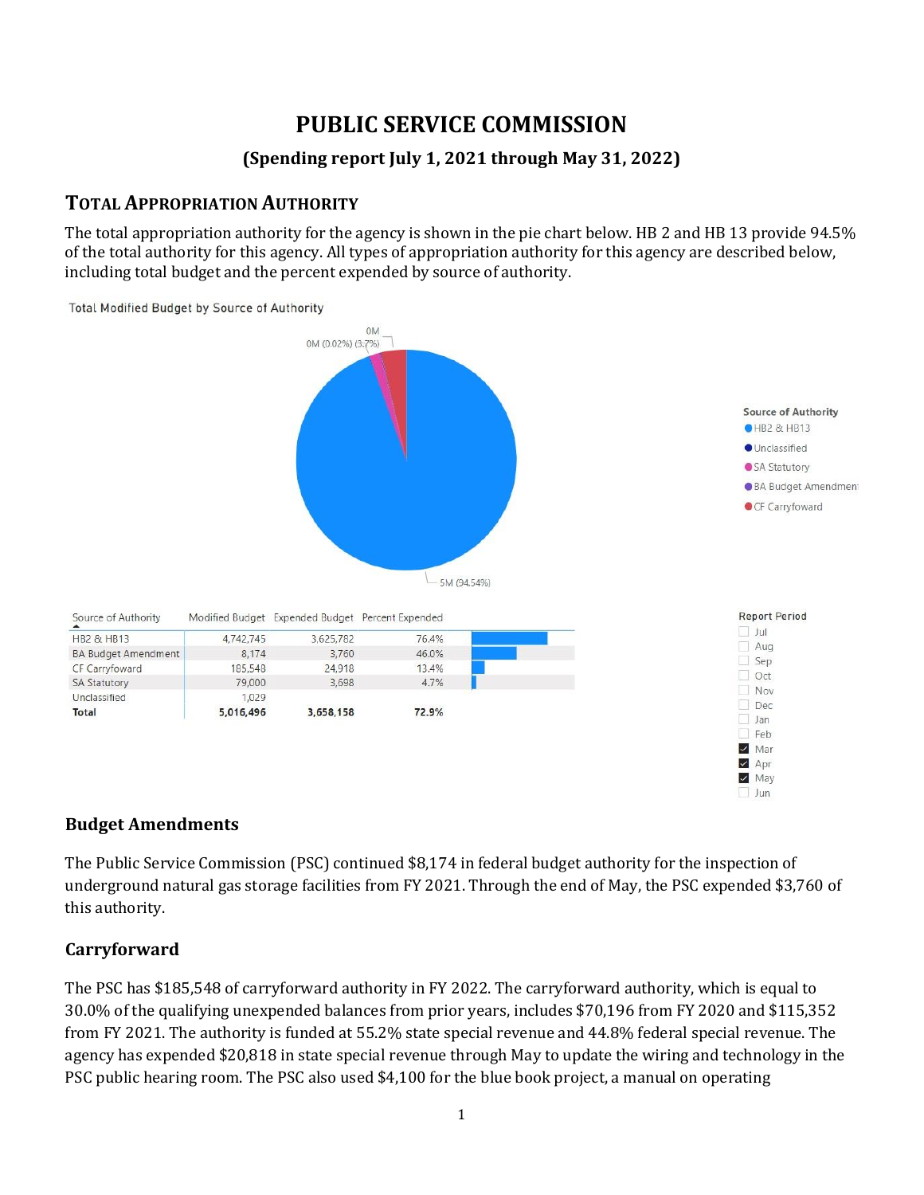# **PUBLIC SERVICE COMMISSION**

### **(Spending report July 1, 2021 through May 31, 2022)**

### **TOTAL APPROPRIATION AUTHORITY**

The total appropriation authority for the agency is shown in the pie chart below. HB 2 and HB 13 provide 94.5% of the total authority for this agency. All types of appropriation authority for this agency are described below, including total budget and the percent expended by source of authority.



#### **Budget Amendments**

The Public Service Commission (PSC) continued \$8,174 in federal budget authority for the inspection of underground natural gas storage facilities from FY 2021. Through the end of May, the PSC expended \$3,760 of this authority.

#### **Carryforward**

The PSC has \$185,548 of carryforward authority in FY 2022. The carryforward authority, which is equal to 30.0% of the qualifying unexpended balances from prior years, includes \$70,196 from FY 2020 and \$115,352 from FY 2021. The authority is funded at 55.2% state special revenue and 44.8% federal special revenue. The agency has expended \$20,818 in state special revenue through May to update the wiring and technology in the PSC public hearing room. The PSC also used \$4,100 for the blue book project, a manual on operating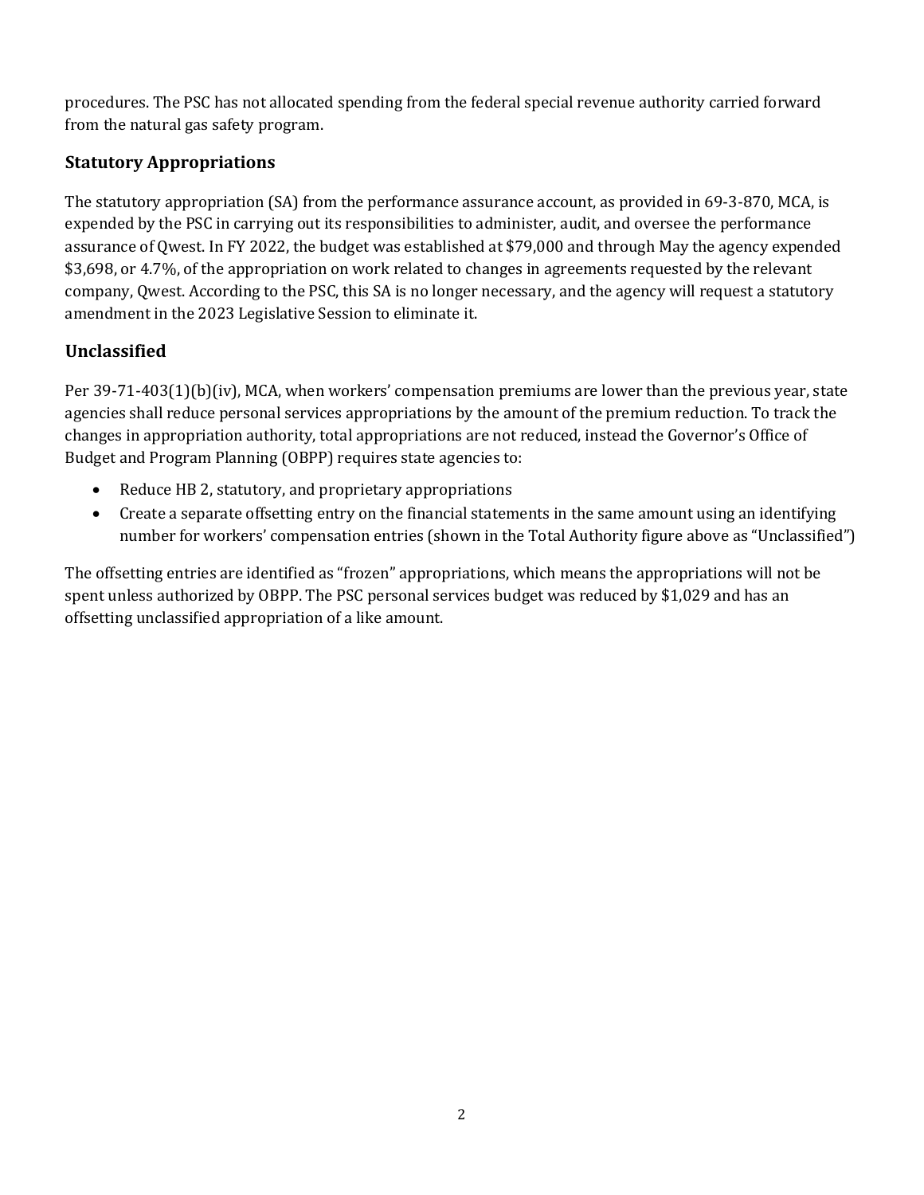procedures. The PSC has not allocated spending from the federal special revenue authority carried forward from the natural gas safety program.

### **Statutory Appropriations**

The statutory appropriation (SA) from the performance assurance account, as provided in 69-3-870, MCA, is expended by the PSC in carrying out its responsibilities to administer, audit, and oversee the performance assurance of Qwest. In FY 2022, the budget was established at \$79,000 and through May the agency expended \$3,698, or 4.7%, of the appropriation on work related to changes in agreements requested by the relevant company, Qwest. According to the PSC, this SA is no longer necessary, and the agency will request a statutory amendment in the 2023 Legislative Session to eliminate it.

## **Unclassified**

Per 39-71-403(1)(b)(iv), MCA, when workers' compensation premiums are lower than the previous year, state agencies shall reduce personal services appropriations by the amount of the premium reduction. To track the changes in appropriation authority, total appropriations are not reduced, instead the Governor's Office of Budget and Program Planning (OBPP) requires state agencies to:

- Reduce HB 2, statutory, and proprietary appropriations
- Create a separate offsetting entry on the financial statements in the same amount using an identifying number for workers' compensation entries (shown in the Total Authority figure above as "Unclassified")

The offsetting entries are identified as "frozen" appropriations, which means the appropriations will not be spent unless authorized by OBPP. The PSC personal services budget was reduced by \$1,029 and has an offsetting unclassified appropriation of a like amount.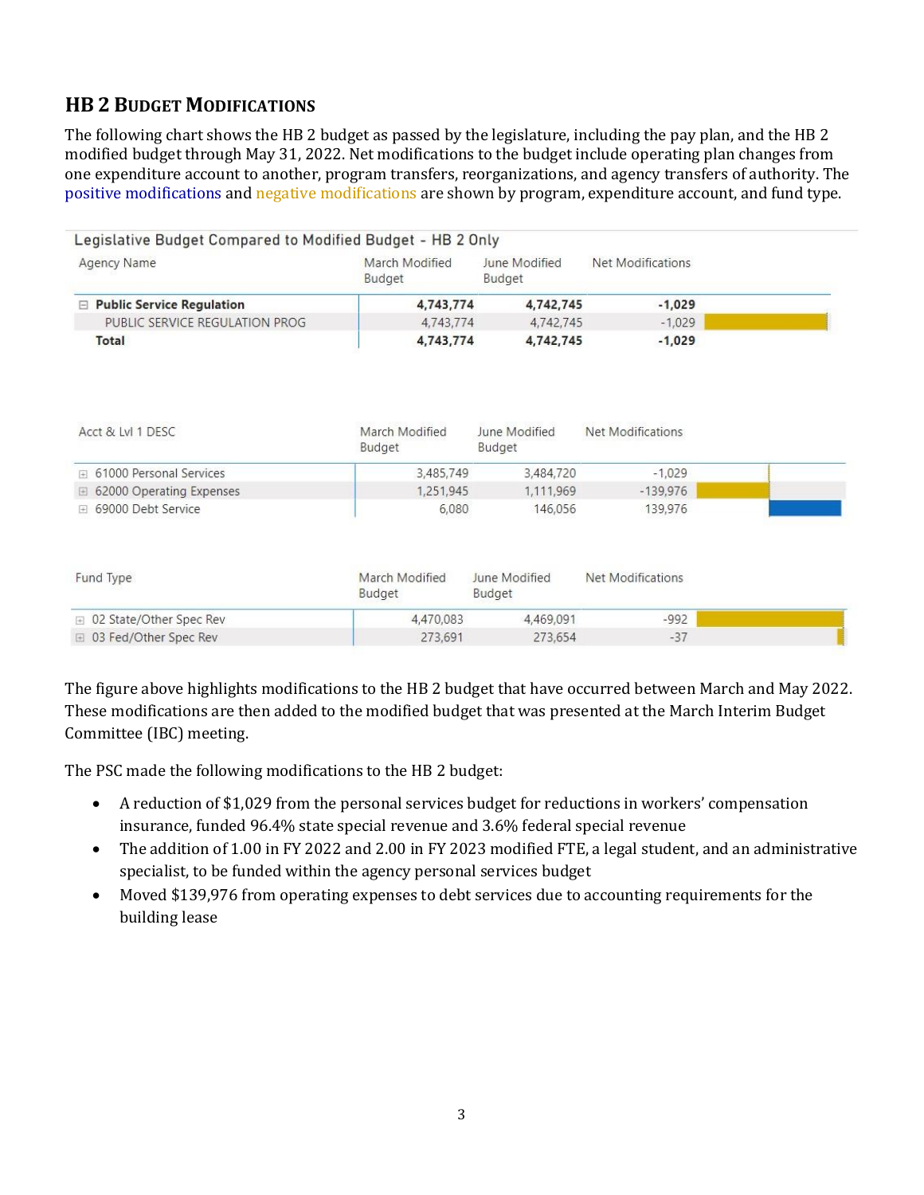## **HB 2 BUDGET MODIFICATIONS**

The following chart shows the HB 2 budget as passed by the legislature, including the pay plan, and the HB 2 modified budget through May 31, 2022. Net modifications to the budget include operating plan changes from one expenditure account to another, program transfers, reorganizations, and agency transfers of authority. The positive modifications and negative modifications are shown by program, expenditure account, and fund type.

| <b>Agency Name</b>                             | March Modified<br>Budget | June Modified<br>Budget | <b>Net Modifications</b> |  |
|------------------------------------------------|--------------------------|-------------------------|--------------------------|--|
| <b>□ Public Service Regulation</b>             | 4,743,774                | 4,742,745               | $-1,029$                 |  |
| PUBLIC SERVICE REGULATION PROG                 | 4,743,774                | 4,742,745               | $-1,029$                 |  |
| Total                                          | 4,743,774                | 4,742,745               | $-1,029$                 |  |
| Acct & Lvl 1 DESC                              | March Modified<br>Budget | June Modified<br>Budget | Net Modifications        |  |
| 61000 Personal Services<br>$\left  - \right $  | 3,485,749                | 3,484,720               | $-1,029$                 |  |
| 62000 Operating Expenses<br>$\left  + \right $ | 1,251,945                | 1,111,969               | $-139,976$               |  |
| 69000 Debt Service<br>曱                        | 6,080                    | 146,056                 | 139,976                  |  |
| Fund Type                                      | March Modified<br>Budget | June Modified<br>Budget | Net Modifications        |  |
|                                                |                          |                         |                          |  |
| 02 State/Other Spec Rev<br>$+$                 | 4,470,083                | 4,469,091               | $-992$                   |  |

The figure above highlights modifications to the HB 2 budget that have occurred between March and May 2022. These modifications are then added to the modified budget that was presented at the March Interim Budget Committee (IBC) meeting.

The PSC made the following modifications to the HB 2 budget:

- A reduction of \$1,029 from the personal services budget for reductions in workers' compensation insurance, funded 96.4% state special revenue and 3.6% federal special revenue
- The addition of 1.00 in FY 2022 and 2.00 in FY 2023 modified FTE, a legal student, and an administrative specialist, to be funded within the agency personal services budget
- Moved \$139,976 from operating expenses to debt services due to accounting requirements for the building lease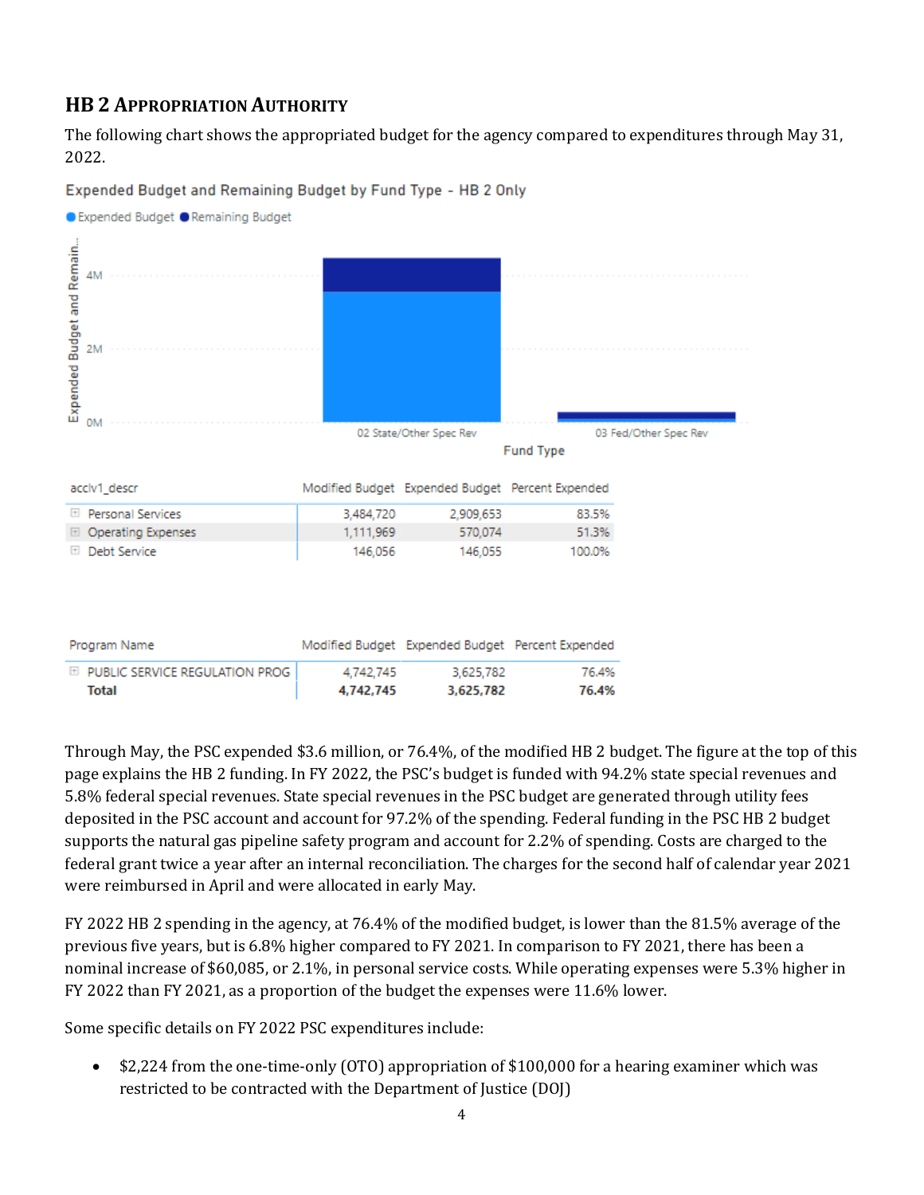## **HB 2 APPROPRIATION AUTHORITY**

The following chart shows the appropriated budget for the agency compared to expenditures through May 31, 2022.



Expended Budget and Remaining Budget by Fund Type - HB 2 Only

Through May, the PSC expended \$3.6 million, or 76.4%, of the modified HB 2 budget. The figure at the top of this page explains the HB 2 funding. In FY 2022, the PSC's budget is funded with 94.2% state special revenues and 5.8% federal special revenues. State special revenues in the PSC budget are generated through utility fees deposited in the PSC account and account for 97.2% of the spending. Federal funding in the PSC HB 2 budget supports the natural gas pipeline safety program and account for 2.2% of spending. Costs are charged to the federal grant twice a year after an internal reconciliation. The charges for the second half of calendar year 2021 were reimbursed in April and were allocated in early May.

FY 2022 HB 2 spending in the agency, at 76.4% of the modified budget, is lower than the 81.5% average of the previous five years, but is 6.8% higher compared to FY 2021. In comparison to FY 2021, there has been a nominal increase of \$60,085, or 2.1%, in personal service costs. While operating expenses were 5.3% higher in FY 2022 than FY 2021, as a proportion of the budget the expenses were 11.6% lower.

Some specific details on FY 2022 PSC expenditures include:

• \$2,224 from the one-time-only (OTO) appropriation of \$100,000 for a hearing examiner which was restricted to be contracted with the Department of Justice (DOJ)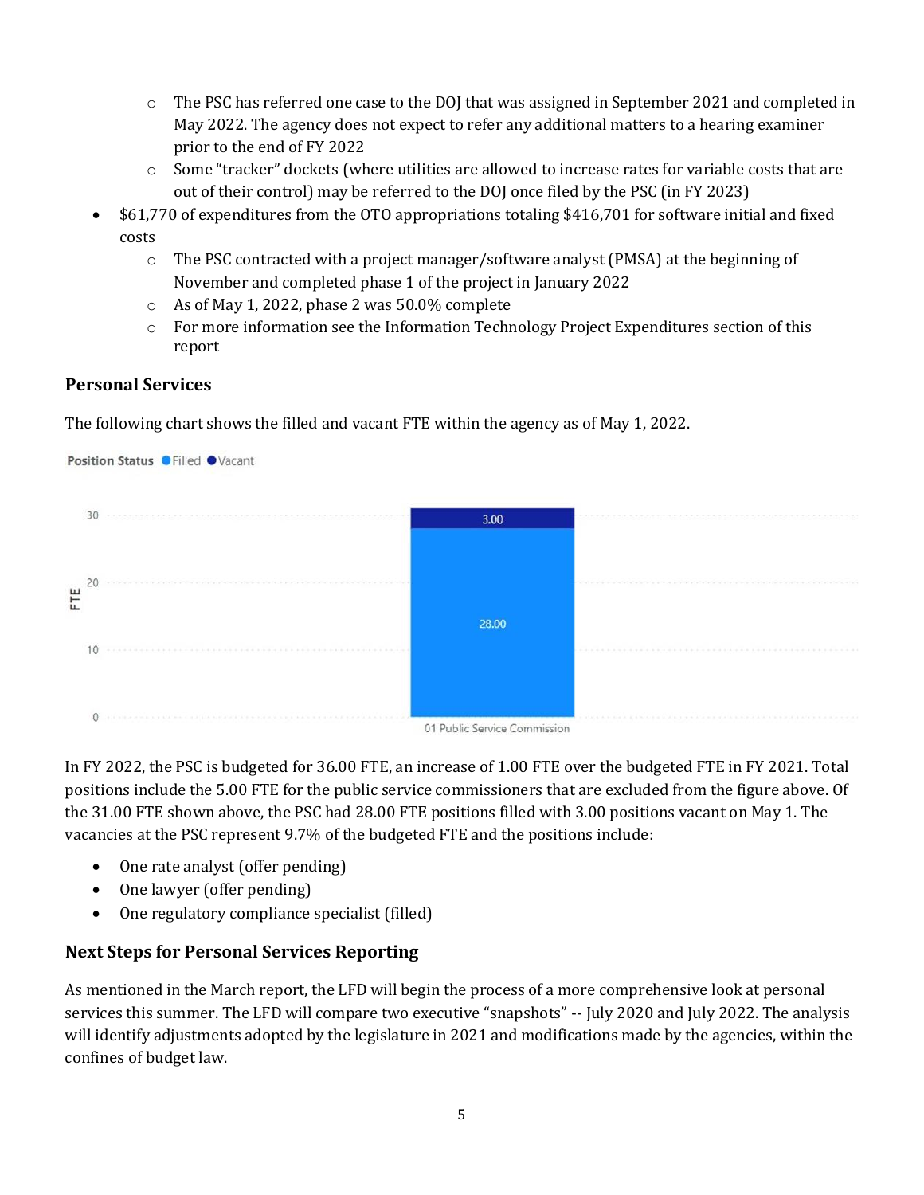- o The PSC has referred one case to the DOJ that was assigned in September 2021 and completed in May 2022. The agency does not expect to refer any additional matters to a hearing examiner prior to the end of FY 2022
- o Some "tracker" dockets (where utilities are allowed to increase rates for variable costs that are out of their control) may be referred to the DOJ once filed by the PSC (in FY 2023)
- \$61,770 of expenditures from the OTO appropriations totaling \$416,701 for software initial and fixed costs
	- $\circ$  The PSC contracted with a project manager/software analyst (PMSA) at the beginning of November and completed phase 1 of the project in January 2022
	- o As of May 1, 2022, phase 2 was 50.0% complete
	- $\circ$  For more information see the Information Technology Project Expenditures section of this report

#### **Personal Services**

The following chart shows the filled and vacant FTE within the agency as of May 1, 2022.



In FY 2022, the PSC is budgeted for 36.00 FTE, an increase of 1.00 FTE over the budgeted FTE in FY 2021. Total positions include the 5.00 FTE for the public service commissioners that are excluded from the figure above. Of the 31.00 FTE shown above, the PSC had 28.00 FTE positions filled with 3.00 positions vacant on May 1. The vacancies at the PSC represent 9.7% of the budgeted FTE and the positions include:

- One rate analyst (offer pending)
- One lawyer (offer pending)
- One regulatory compliance specialist (filled)

### **Next Steps for Personal Services Reporting**

As mentioned in the March report, the LFD will begin the process of a more comprehensive look at personal services this summer. The LFD will compare two executive "snapshots" -- July 2020 and July 2022. The analysis will identify adjustments adopted by the legislature in 2021 and modifications made by the agencies, within the confines of budget law.